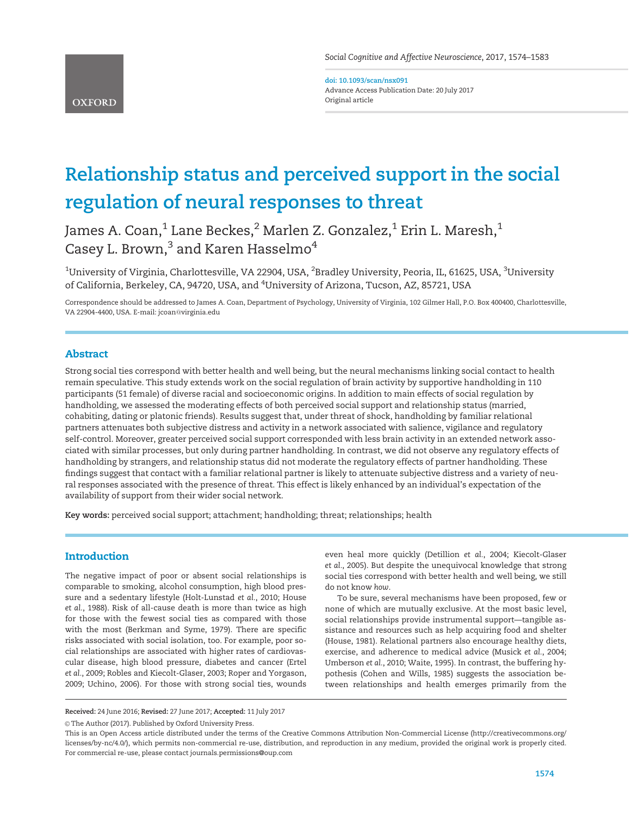doi: 10.1093/scan/nsx091 Advance Access Publication Date: 20 July 2017 Original article

# Relationship status and perceived support in the social regulation of neural responses to threat

James A. Coan,<sup>1</sup> Lane Beckes,<sup>2</sup> Marlen Z. Gonzalez,<sup>1</sup> Erin L. Maresh,<sup>1</sup> Casey L. Brown, $3$  and Karen Hasselmo<sup>4</sup>

 $^{\rm 1}$ University of Virginia, Charlottesville, VA 22904, USA,  $^{\rm 2}$ Bradley University, Peoria, IL, 61625, USA,  $^{\rm 3}$ University of California, Berkeley, CA, 94720, USA, and <sup>4</sup>University of Arizona, Tucson, AZ, 85721, USA

Correspondence should be addressed to James A. Coan, Department of Psychology, University of Virginia, 102 Gilmer Hall, P.O. Box 400400, Charlottesville, VA 22904-4400, USA. E-mail: jcoan@virginia.edu

# Abstract

Strong social ties correspond with better health and well being, but the neural mechanisms linking social contact to health remain speculative. This study extends work on the social regulation of brain activity by supportive handholding in 110 participants (51 female) of diverse racial and socioeconomic origins. In addition to main effects of social regulation by handholding, we assessed the moderating effects of both perceived social support and relationship status (married, cohabiting, dating or platonic friends). Results suggest that, under threat of shock, handholding by familiar relational partners attenuates both subjective distress and activity in a network associated with salience, vigilance and regulatory self-control. Moreover, greater perceived social support corresponded with less brain activity in an extended network associated with similar processes, but only during partner handholding. In contrast, we did not observe any regulatory effects of handholding by strangers, and relationship status did not moderate the regulatory effects of partner handholding. These findings suggest that contact with a familiar relational partner is likely to attenuate subjective distress and a variety of neural responses associated with the presence of threat. This effect is likely enhanced by an individual's expectation of the availability of support from their wider social network.

Key words: perceived social support; attachment; handholding; threat; relationships; health

# **Introduction**

The negative impact of poor or absent social relationships is comparable to smoking, alcohol consumption, high blood pressure and a sedentary lifestyle [\(Holt-Lunstad](#page-8-0) et al., 2010; [House](#page-8-0) et al.[, 1988\)](#page-8-0). Risk of all-cause death is more than twice as high for those with the fewest social ties as compared with those with the most ([Berkman and Syme, 1979](#page-7-0)). There are specific risks associated with social isolation, too. For example, poor social relationships are associated with higher rates of cardiovascular disease, high blood pressure, diabetes and cancer [\(Ertel](#page-8-0) et al.[, 2009; Robles and Kiecolt-Glaser, 2003](#page-8-0); [Roper and Yorgason,](#page-8-0) [2009; Uchino, 2006\)](#page-8-0). For those with strong social ties, wounds

even heal more quickly [\(Detillion](#page-8-0) et al., 2004; [Kiecolt-Glaser](#page-8-0) et al.[, 2005\)](#page-8-0). But despite the unequivocal knowledge that strong social ties correspond with better health and well being, we still do not know how.

To be sure, several mechanisms have been proposed, few or none of which are mutually exclusive. At the most basic level, social relationships provide instrumental support—tangible assistance and resources such as help acquiring food and shelter [\(House, 1981\)](#page-8-0). Relational partners also encourage healthy diets, exercise, and adherence to medical advice [\(Musick](#page-8-0) et al., 2004; [Umberson](#page-8-0) et al., 2010; [Waite, 1995\)](#page-9-0). In contrast, the buffering hypothesis ([Cohen and Wills, 1985](#page-7-0)) suggests the association between relationships and health emerges primarily from the

Received: 24 June 2016; Revised: 27 June 2017; Accepted: 11 July 2017

<sup>©</sup> The Author (2017). Published by Oxford University Press.

This is an Open Access article distributed under the terms of the Creative Commons Attribution Non-Commercial License (http://creativecommons.org/ licenses/by-nc/4.0/), which permits non-commercial re-use, distribution, and reproduction in any medium, provided the original work is properly cited. For commercial re-use, please contact journals.permissions@oup.com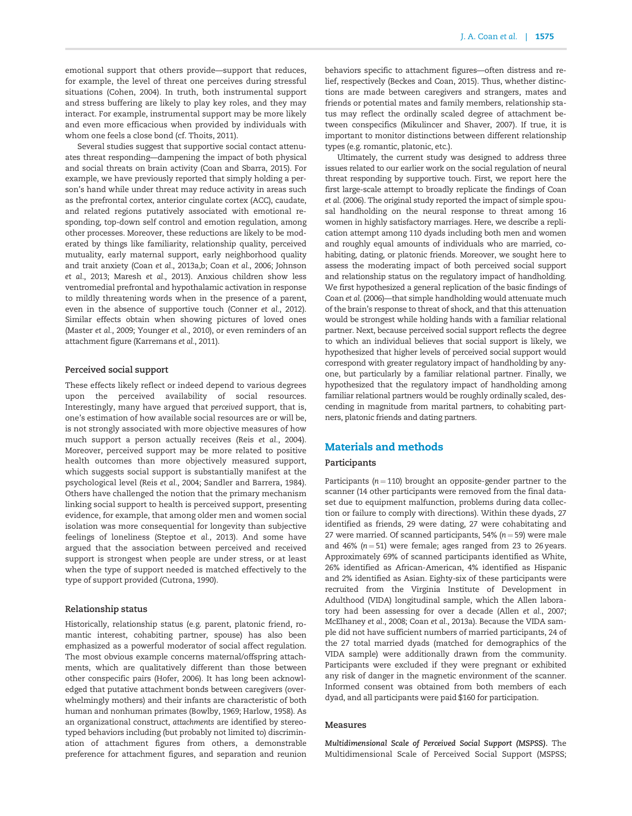emotional support that others provide—support that reduces, for example, the level of threat one perceives during stressful situations ([Cohen, 2004](#page-7-0)). In truth, both instrumental support and stress buffering are likely to play key roles, and they may interact. For example, instrumental support may be more likely and even more efficacious when provided by individuals with whom one feels a close bond (cf. [Thoits, 2011\)](#page-8-0).

Several studies suggest that supportive social contact attenuates threat responding—dampening the impact of both physical and social threats on brain activity ([Coan and Sbarra, 2015\)](#page-7-0). For example, we have previously reported that simply holding a person's hand while under threat may reduce activity in areas such as the prefrontal cortex, anterior cingulate cortex (ACC), caudate, and related regions putatively associated with emotional responding, top-down self control and emotion regulation, among other processes. Moreover, these reductions are likely to be moderated by things like familiarity, relationship quality, perceived mutuality, early maternal support, early neighborhood quality and trait anxiety (Coan et al.[, 2013a,b](#page-7-0); Coan et al.[, 2006;](#page-7-0) [Johnson](#page-8-0) et al.[, 2013](#page-8-0); [Maresh](#page-8-0) et al., 2013). Anxious children show less ventromedial prefrontal and hypothalamic activation in response to mildly threatening words when in the presence of a parent, even in the absence of supportive touch [\(Conner](#page-7-0) et al., 2012). Similar effects obtain when showing pictures of loved ones [\(Master](#page-8-0) et al., 2009; [Younger](#page-9-0) et al., 2010), or even reminders of an attachment figure ([Karremans](#page-8-0) et al., 2011).

## Perceived social support

These effects likely reflect or indeed depend to various degrees upon the perceived availability of social resources. Interestingly, many have argued that perceived support, that is, one's estimation of how available social resources are or will be, is not strongly associated with more objective measures of how much support a person actually receives (Reis et al.[, 2004\)](#page-8-0). Moreover, perceived support may be more related to positive health outcomes than more objectively measured support, which suggests social support is substantially manifest at the psychological level (Reis et al.[, 2004](#page-8-0); [Sandler and Barrera, 1984\)](#page-8-0). Others have challenged the notion that the primary mechanism linking social support to health is perceived support, presenting evidence, for example, that among older men and women social isolation was more consequential for longevity than subjective feelings of loneliness [\(Steptoe](#page-8-0) et al., 2013). And some have argued that the association between perceived and received support is strongest when people are under stress, or at least when the type of support needed is matched effectively to the type of support provided (Cutrona, 1990).

#### Relationship status

Historically, relationship status (e.g. parent, platonic friend, romantic interest, cohabiting partner, spouse) has also been emphasized as a powerful moderator of social affect regulation. The most obvious example concerns maternal/offspring attachments, which are qualitatively different than those between other conspecific pairs ([Hofer, 2006\)](#page-8-0). It has long been acknowledged that putative attachment bonds between caregivers (overwhelmingly mothers) and their infants are characteristic of both human and nonhuman primates ([Bowlby, 1969;](#page-7-0) [Harlow, 1958\)](#page-8-0). As an organizational construct, attachments are identified by stereotyped behaviors including (but probably not limited to) discrimination of attachment figures from others, a demonstrable preference for attachment figures, and separation and reunion

behaviors specific to attachment figures—often distress and relief, respectively [\(Beckes and Coan, 2015](#page-7-0)). Thus, whether distinctions are made between caregivers and strangers, mates and friends or potential mates and family members, relationship status may reflect the ordinally scaled degree of attachment between conspecifics ([Mikulincer and Shaver, 2007\)](#page-8-0). If true, it is important to monitor distinctions between different relationship types (e.g. romantic, platonic, etc.).

Ultimately, the current study was designed to address three issues related to our earlier work on the social regulation of neural threat responding by supportive touch. First, we report here the first large-scale attempt to broadly replicate the findings of [Coan](#page-7-0) et al. [\(2006\).](#page-7-0) The original study reported the impact of simple spousal handholding on the neural response to threat among 16 women in highly satisfactory marriages. Here, we describe a replication attempt among 110 dyads including both men and women and roughly equal amounts of individuals who are married, cohabiting, dating, or platonic friends. Moreover, we sought here to assess the moderating impact of both perceived social support and relationship status on the regulatory impact of handholding. We first hypothesized a general replication of the basic findings of Coan et al. [\(2006\)—](#page-7-0)that simple handholding would attenuate much of the brain's response to threat of shock, and that this attenuation would be strongest while holding hands with a familiar relational partner. Next, because perceived social support reflects the degree to which an individual believes that social support is likely, we hypothesized that higher levels of perceived social support would correspond with greater regulatory impact of handholding by anyone, but particularly by a familiar relational partner. Finally, we hypothesized that the regulatory impact of handholding among familiar relational partners would be roughly ordinally scaled, descending in magnitude from marital partners, to cohabiting partners, platonic friends and dating partners.

# Materials and methods

#### Participants

Participants ( $n = 110$ ) brought an opposite-gender partner to the scanner (14 other participants were removed from the final dataset due to equipment malfunction, problems during data collection or failure to comply with directions). Within these dyads, 27 identified as friends, 29 were dating, 27 were cohabitating and 27 were married. Of scanned participants, 54% ( $n = 59$ ) were male and 46%  $(n = 51)$  were female; ages ranged from 23 to 26 years. Approximately 69% of scanned participants identified as White, 26% identified as African-American, 4% identified as Hispanic and 2% identified as Asian. Eighty-six of these participants were recruited from the Virginia Institute of Development in Adulthood (VIDA) longitudinal sample, which the Allen laboratory had been assessing for over a decade (Allen et al.[, 2007](#page-7-0); [McElhaney](#page-8-0) et al., 2008; Coan et al.[, 2013a](#page-7-0)). Because the VIDA sample did not have sufficient numbers of married participants, 24 of the 27 total married dyads (matched for demographics of the VIDA sample) were additionally drawn from the community. Participants were excluded if they were pregnant or exhibited any risk of danger in the magnetic environment of the scanner. Informed consent was obtained from both members of each dyad, and all participants were paid \$160 for participation.

### Measures

Multidimensional Scale of Perceived Social Support (MSPSS). The Multidimensional Scale of Perceived Social Support (MSPSS;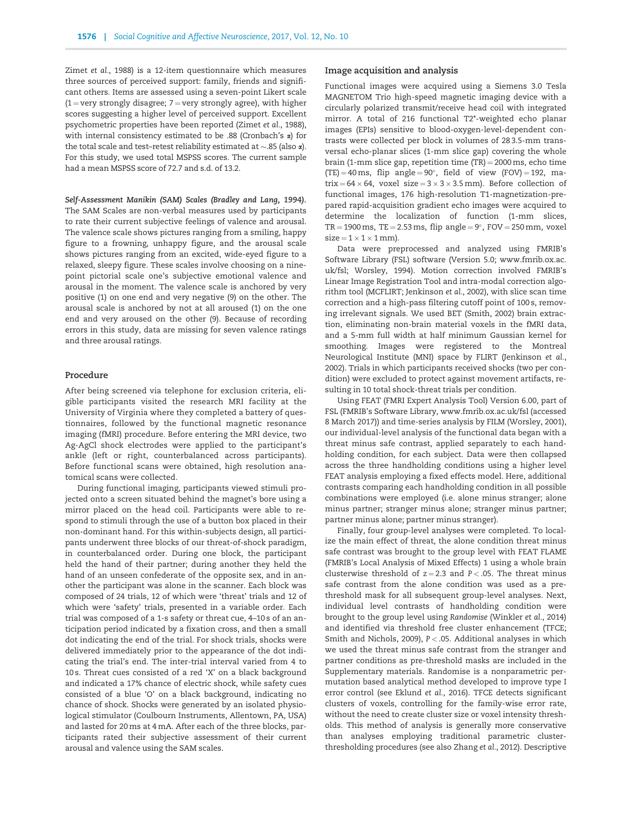[Zimet](#page-9-0) et al., 1988) is a 12-item questionnaire which measures three sources of perceived support: family, friends and significant others. Items are assessed using a seven-point Likert scale  $(1 = v$ ery strongly disagree;  $7 = v$ ery strongly agree), with higher scores suggesting a higher level of perceived support. Excellent psychometric properties have been reported [\(Zimet](#page-9-0) et al., 1988), with internal consistency estimated to be .88 (Cronbach's a) for the total scale and test–retest reliability estimated at  $\sim$  85 (also **x**). For this study, we used total MSPSS scores. The current sample had a mean MSPSS score of 72.7 and s.d. of 13.2.

Self-Assessment Manikin (SAM) Scales ([Bradley and Lang, 1994\)](#page-7-0). The SAM Scales are non-verbal measures used by participants to rate their current subjective feelings of valence and arousal. The valence scale shows pictures ranging from a smiling, happy figure to a frowning, unhappy figure, and the arousal scale shows pictures ranging from an excited, wide-eyed figure to a relaxed, sleepy figure. These scales involve choosing on a ninepoint pictorial scale one's subjective emotional valence and arousal in the moment. The valence scale is anchored by very positive (1) on one end and very negative (9) on the other. The arousal scale is anchored by not at all aroused (1) on the one end and very aroused on the other (9). Because of recording errors in this study, data are missing for seven valence ratings and three arousal ratings.

#### Procedure

After being screened via telephone for exclusion criteria, eligible participants visited the research MRI facility at the University of Virginia where they completed a battery of questionnaires, followed by the functional magnetic resonance imaging (fMRI) procedure. Before entering the MRI device, two Ag-AgCl shock electrodes were applied to the participant's ankle (left or right, counterbalanced across participants). Before functional scans were obtained, high resolution anatomical scans were collected.

During functional imaging, participants viewed stimuli projected onto a screen situated behind the magnet's bore using a mirror placed on the head coil. Participants were able to respond to stimuli through the use of a button box placed in their non-dominant hand. For this within-subjects design, all participants underwent three blocks of our threat-of-shock paradigm, in counterbalanced order. During one block, the participant held the hand of their partner; during another they held the hand of an unseen confederate of the opposite sex, and in another the participant was alone in the scanner. Each block was composed of 24 trials, 12 of which were 'threat' trials and 12 of which were 'safety' trials, presented in a variable order. Each trial was composed of a 1-s safety or threat cue, 4–10 s of an anticipation period indicated by a fixation cross, and then a small dot indicating the end of the trial. For shock trials, shocks were delivered immediately prior to the appearance of the dot indicating the trial's end. The inter-trial interval varied from 4 to 10 s. Threat cues consisted of a red 'X' on a black background and indicated a 17% chance of electric shock, while safety cues consisted of a blue 'O' on a black background, indicating no chance of shock. Shocks were generated by an isolated physiological stimulator (Coulbourn Instruments, Allentown, PA, USA) and lasted for 20 ms at 4 mA. After each of the three blocks, participants rated their subjective assessment of their current arousal and valence using the SAM scales.

#### Image acquisition and analysis

Functional images were acquired using a Siemens 3.0 Tesla MAGNETOM Trio high-speed magnetic imaging device with a circularly polarized transmit/receive head coil with integrated mirror. A total of 216 functional T2\*-weighted echo planar images (EPIs) sensitive to blood-oxygen-level-dependent contrasts were collected per block in volumes of 28 3.5-mm transversal echo-planar slices (1-mm slice gap) covering the whole brain (1-mm slice gap, repetition time  $(TR) = 2000 \text{ ms}$ , echo time  $(TE) = 40 \text{ ms}$ , flip angle = 90°, field of view  $(FOV) = 192$ , matrix =  $64 \times 64$ , voxel size =  $3 \times 3 \times 3.5$  mm). Before collection of functional images, 176 high-resolution T1-magnetization-prepared rapid-acquisition gradient echo images were acquired to determine the localization of function (1-mm slices,  $TR = 1900 \text{ ms}$ ,  $TE = 2.53 \text{ ms}$ , flip angle  $= 9^{\circ}$ ,  $FOV = 250 \text{ mm}$ , voxel  $size = 1 \times 1 \times 1$  mm).

Data were preprocessed and analyzed using FMRIB's Software Library (FSL) software (Version 5.0; [www.fmrib.ox.ac.](http://www.fmrib.ox.ac.uk/fsl) [uk/fsl;](http://www.fmrib.ox.ac.uk/fsl) [Worsley, 1994](#page-9-0)). Motion correction involved FMRIB's Linear Image Registration Tool and intra-modal correction algorithm tool (MCFLIRT; [Jenkinson](#page-8-0) et al., 2002), with slice scan time correction and a high-pass filtering cutoff point of 100 s, removing irrelevant signals. We used BET ([Smith, 2002](#page-8-0)) brain extraction, eliminating non-brain material voxels in the fMRI data, and a 5-mm full width at half minimum Gaussian kernel for smoothing. Images were registered to the Montreal Neurological Institute (MNI) space by FLIRT ([Jenkinson](#page-8-0) et al., [2002\)](#page-8-0). Trials in which participants received shocks (two per condition) were excluded to protect against movement artifacts, resulting in 10 total shock-threat trials per condition.

Using FEAT (FMRI Expert Analysis Tool) Version 6.00, part of FSL (FMRIB's Software Library, [www.fmrib.ox.ac.uk/fsl](http://www.fmrib.ox.ac.uk/fsl) (accessed 8 March 2017)) and time-series analysis by FILM ([Worsley, 2001\)](#page-9-0), our individual-level analysis of the functional data began with a threat minus safe contrast, applied separately to each handholding condition, for each subject. Data were then collapsed across the three handholding conditions using a higher level FEAT analysis employing a fixed effects model. Here, additional contrasts comparing each handholding condition in all possible combinations were employed (i.e. alone minus stranger; alone minus partner; stranger minus alone; stranger minus partner; partner minus alone; partner minus stranger).

Finally, four group-level analyses were completed. To localize the main effect of threat, the alone condition threat minus safe contrast was brought to the group level with FEAT FLAME (FMRIB's Local Analysis of Mixed Effects) 1 using a whole brain clusterwise threshold of  $z = 2.3$  and  $P < .05$ . The threat minus safe contrast from the alone condition was used as a prethreshold mask for all subsequent group-level analyses. Next, individual level contrasts of handholding condition were brought to the group level using Randomise (Winkler et al., 2014) and identified via threshold free cluster enhancement (TFCE; [Smith and Nichols, 2009\)](#page-8-0),  $P < .05$ . Additional analyses in which we used the threat minus safe contrast from the stranger and partner conditions as pre-threshold masks are included in the Supplementary materials. Randomise is a nonparametric permutation based analytical method developed to improve type I error control (see Eklund et al., 2016). TFCE detects significant clusters of voxels, controlling for the family-wise error rate, without the need to create cluster size or voxel intensity thresholds. This method of analysis is generally more conservative than analyses employing traditional parametric clusterthresholding procedures (see also [Zhang](#page-9-0) et al.[, 2012\)](#page-9-0). Descriptive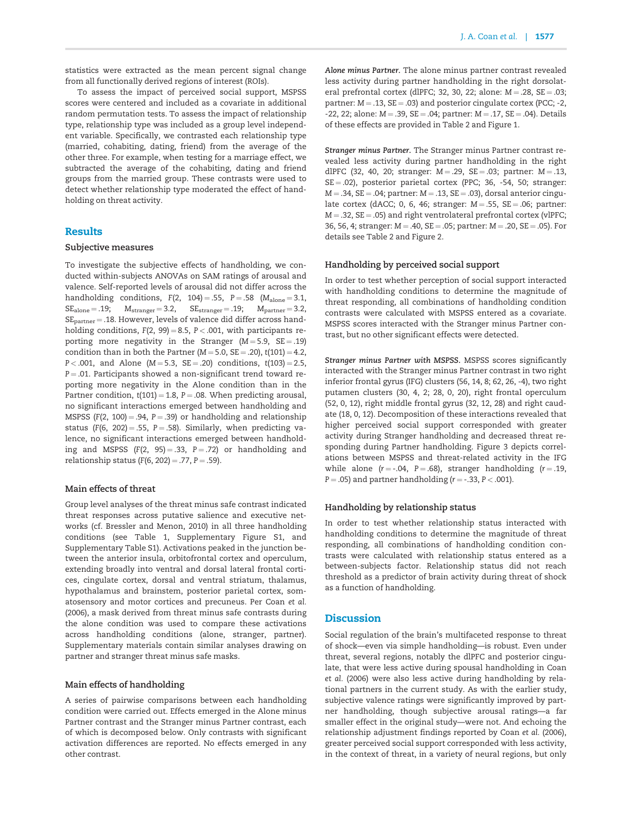statistics were extracted as the mean percent signal change from all functionally derived regions of interest (ROIs).

To assess the impact of perceived social support, MSPSS scores were centered and included as a covariate in additional random permutation tests. To assess the impact of relationship type, relationship type was included as a group level independent variable. Specifically, we contrasted each relationship type (married, cohabiting, dating, friend) from the average of the other three. For example, when testing for a marriage effect, we subtracted the average of the cohabiting, dating and friend groups from the married group. These contrasts were used to detect whether relationship type moderated the effect of handholding on threat activity.

# Results

## Subjective measures

To investigate the subjective effects of handholding, we conducted within-subjects ANOVAs on SAM ratings of arousal and valence. Self-reported levels of arousal did not differ across the handholding conditions,  $F(2, 104) = .55$ ,  $P = .58$  ( $M_{\text{alone}} = 3.1$ ,  $SE<sub>alone</sub> = .19;$   $M<sub>stranger</sub> = 3.2,$   $SE<sub>stranger</sub> = .19;$   $M<sub>partner</sub> = 3.2,$  $SE<sub>partner</sub> = .18$ . However, levels of valence did differ across handholding conditions,  $F(2, 99) = 8.5$ ,  $P < .001$ , with participants reporting more negativity in the Stranger  $(M = 5.9, SE = .19)$ condition than in both the Partner ( $M = 5.0$ ,  $SE = .20$ ),  $t(101) = 4.2$ ,  $P < .001$ , and Alone (M = 5.3, SE = .20) conditions, t(103) = 2.5,  $P = .01$ . Participants showed a non-significant trend toward reporting more negativity in the Alone condition than in the Partner condition,  $t(101) = 1.8$ ,  $P = .08$ . When predicting arousal, no significant interactions emerged between handholding and MSPSS (F(2, 100) = .94, P = .39) or handholding and relationship status (F(6, 202) = .55, P = .58). Similarly, when predicting valence, no significant interactions emerged between handholding and MSPSS  $(F(2, 95) = .33, P = .72)$  or handholding and relationship status (F(6, 202) = .77, P = .59).

## Main effects of threat

Group level analyses of the threat minus safe contrast indicated threat responses across putative salience and executive networks (cf. [Bressler and Menon, 2010](#page-7-0)) in all three handholding conditions (see [Table 1](#page-4-0), Supplementary Figure S1, and Supplementary Table S1). Activations peaked in the junction between the anterior insula, orbitofrontal cortex and operculum, extending broadly into ventral and dorsal lateral frontal cortices, cingulate cortex, dorsal and ventral striatum, thalamus, hypothalamus and brainstem, posterior parietal cortex, somatosensory and motor cortices and precuneus. Per [Coan](#page-7-0) et al. [\(2006\)](#page-7-0), a mask derived from threat minus safe contrasts during the alone condition was used to compare these activations across handholding conditions (alone, stranger, partner). Supplementary materials contain similar analyses drawing on partner and stranger threat minus safe masks.

#### Main effects of handholding

A series of pairwise comparisons between each handholding condition were carried out. Effects emerged in the Alone minus Partner contrast and the Stranger minus Partner contrast, each of which is decomposed below. Only contrasts with significant activation differences are reported. No effects emerged in any other contrast.

Alone minus Partner. The alone minus partner contrast revealed less activity during partner handholding in the right dorsolateral prefrontal cortex (dlPFC; 32, 30, 22; alone:  $M = .28$ ,  $SE = .03$ ; partner:  $M = .13$ ,  $SE = .03$ ) and posterior cingulate cortex (PCC; -2,  $-22$ , 22; alone:  $M = .39$ ,  $SE = .04$ ; partner:  $M = .17$ ,  $SE = .04$ ). Details of these effects are provided in [Table 2](#page-4-0) and [Figure 1.](#page-4-0)

Stranger minus Partner. The Stranger minus Partner contrast revealed less activity during partner handholding in the right dlPFC (32, 40, 20; stranger:  $M = .29$ ,  $SE = .03$ ; partner:  $M = .13$ ,  $SE = .02$ ), posterior parietal cortex (PPC; 36, -54, 50; stranger:  $M = .34$ ,  $SE = .04$ ; partner:  $M = .13$ ,  $SE = .03$ ), dorsal anterior cingulate cortex (dACC; 0, 6, 46; stranger:  $M = .55$ ,  $SE = .06$ ; partner:  $M = .32$ ,  $SE = .05$ ) and right ventrolateral prefrontal cortex (vlPFC; 36, 56, 4; stranger:  $M = .40$ ,  $SE = .05$ ; partner:  $M = .20$ ,  $SE = .05$ ). For details see [Table 2](#page-4-0) and [Figure 2](#page-5-0).

## Handholding by perceived social support

In order to test whether perception of social support interacted with handholding conditions to determine the magnitude of threat responding, all combinations of handholding condition contrasts were calculated with MSPSS entered as a covariate. MSPSS scores interacted with the Stranger minus Partner contrast, but no other significant effects were detected.

Stranger minus Partner with MSPSS. MSPSS scores significantly interacted with the Stranger minus Partner contrast in two right inferior frontal gyrus (IFG) clusters (56, 14, 8; 62, 26, -4), two right putamen clusters (30, 4, 2; 28, 0, 20), right frontal operculum (52, 0, 12), right middle frontal gyrus (32, 12, 28) and right caudate (18, 0, 12). Decomposition of these interactions revealed that higher perceived social support corresponded with greater activity during Stranger handholding and decreased threat responding during Partner handholding. [Figure 3](#page-5-0) depicts correlations between MSPSS and threat-related activity in the IFG while alone  $(r = -.04, P = .68)$ , stranger handholding  $(r = .19, P = .68)$  $P = .05$ ) and partner handholding ( $r = -.33$ ,  $P < .001$ ).

#### Handholding by relationship status

In order to test whether relationship status interacted with handholding conditions to determine the magnitude of threat responding, all combinations of handholding condition contrasts were calculated with relationship status entered as a between-subjects factor. Relationship status did not reach threshold as a predictor of brain activity during threat of shock as a function of handholding.

## **Discussion**

Social regulation of the brain's multifaceted response to threat of shock—even via simple handholding—is robust. Even under threat, several regions, notably the dlPFC and posterior cingulate, that were less active during spousal handholding in [Coan](#page-7-0) et al. [\(2006\)](#page-7-0) were also less active during handholding by relational partners in the current study. As with the earlier study, subjective valence ratings were significantly improved by partner handholding, though subjective arousal ratings—a far smaller effect in the original study—were not. And echoing the relationship adjustment findings reported by Coan et al. [\(2006\)](#page-7-0), greater perceived social support corresponded with less activity, in the context of threat, in a variety of neural regions, but only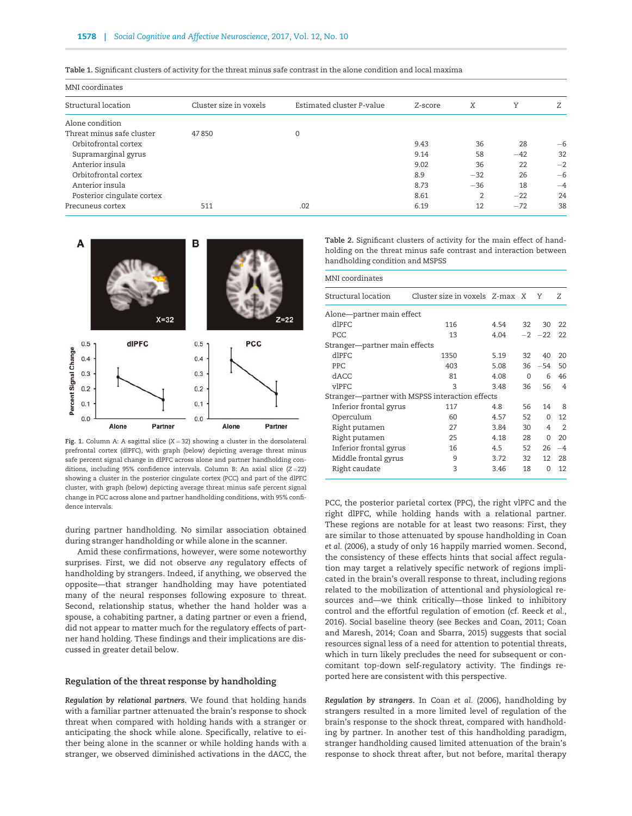<span id="page-4-0"></span>

| <b>Table 1.</b> Significant clusters of activity for the threat minus safe contrast in the alone condition and local maxima |  |  |  |  |  |  |
|-----------------------------------------------------------------------------------------------------------------------------|--|--|--|--|--|--|
|-----------------------------------------------------------------------------------------------------------------------------|--|--|--|--|--|--|

| MNI coordinates            |                        |                           |         |                |       |      |  |
|----------------------------|------------------------|---------------------------|---------|----------------|-------|------|--|
| Structural location        | Cluster size in voxels | Estimated cluster P-value | Z-score | Χ              | Y     | Z    |  |
| Alone condition            |                        |                           |         |                |       |      |  |
| Threat minus safe cluster  | 47850                  | 0                         |         |                |       |      |  |
| Orbitofrontal cortex       |                        |                           | 9.43    | 36             | 28    | $-6$ |  |
| Supramarginal gyrus        |                        |                           | 9.14    | 58             | $-42$ | 32   |  |
| Anterior insula            |                        |                           | 9.02    | 36             | 22    | $-2$ |  |
| Orbitofrontal cortex       |                        |                           | 8.9     | $-32$          | 26    | $-6$ |  |
| Anterior insula            |                        |                           | 8.73    | $-36$          | 18    | $-4$ |  |
| Posterior cingulate cortex |                        |                           | 8.61    | $\overline{2}$ | $-22$ | 24   |  |
| Precuneus cortex           | 511                    | .02                       | 6.19    | 12             | $-72$ | 38   |  |



Fig. 1. Column A: A sagittal slice  $(X = 32)$  showing a cluster in the dorsolateral prefrontal cortex (dlPFC), with graph (below) depicting average threat minus safe percent signal change in dlPFC across alone and partner handholding conditions, including 95% confidence intervals. Column B: An axial slice  $(Z=22)$ showing a cluster in the posterior cingulate cortex (PCC) and part of the dlPFC cluster, with graph (below) depicting average threat minus safe percent signal change in PCC across alone and partner handholding conditions, with 95% confidence intervals.

during partner handholding. No similar association obtained during stranger handholding or while alone in the scanner.

Amid these confirmations, however, were some noteworthy surprises. First, we did not observe any regulatory effects of handholding by strangers. Indeed, if anything, we observed the opposite—that stranger handholding may have potentiated many of the neural responses following exposure to threat. Second, relationship status, whether the hand holder was a spouse, a cohabiting partner, a dating partner or even a friend, did not appear to matter much for the regulatory effects of partner hand holding. These findings and their implications are discussed in greater detail below.

## Regulation of the threat response by handholding

Regulation by relational partners. We found that holding hands with a familiar partner attenuated the brain's response to shock threat when compared with holding hands with a stranger or anticipating the shock while alone. Specifically, relative to either being alone in the scanner or while holding hands with a stranger, we observed diminished activations in the dACC, the Table 2. Significant clusters of activity for the main effect of handholding on the threat minus safe contrast and interaction between handholding condition and MSPSS

| MNI coordinates                                 |                                |      |    |            |                |  |  |
|-------------------------------------------------|--------------------------------|------|----|------------|----------------|--|--|
| Structural location                             | Cluster size in voxels Z-max X |      |    | Y          | Z              |  |  |
| Alone—partner main effect                       |                                |      |    |            |                |  |  |
| dlPFC                                           | 116                            | 4.54 | 32 | 30         | 22             |  |  |
| PCC                                             | 13                             | 4.04 |    | $-2$ $-22$ | 22             |  |  |
| Stranger-partner main effects                   |                                |      |    |            |                |  |  |
| dlPFC                                           | 1350                           | 5.19 | 32 | 40         | 20             |  |  |
| PPC.                                            | 403                            | 5.08 | 36 | $-54$      | 50             |  |  |
| dACC                                            | 81                             | 4.08 | 0  | 6          | 46             |  |  |
| vlPFC                                           | 3                              | 3.48 | 36 | 56         | $\overline{4}$ |  |  |
| Stranger—partner with MSPSS interaction effects |                                |      |    |            |                |  |  |
| Inferior frontal gyrus                          | 117                            | 48   | 56 | 14         | 8              |  |  |
| Operculum                                       | 60                             | 4.57 | 52 | $\Omega$   | 12             |  |  |
| Right putamen                                   | 27                             | 3.84 | 30 | 4          | $\overline{2}$ |  |  |
| Right putamen                                   | 25                             | 4.18 | 28 | 0          | 20             |  |  |
| Inferior frontal gyrus                          | 16                             | 4.5  | 52 | 26         | $-4$           |  |  |
| Middle frontal gyrus                            | 9                              | 3.72 | 32 | 12         | 28             |  |  |
| Right caudate                                   | 3                              | 3.46 | 18 | 0          | 12             |  |  |

PCC, the posterior parietal cortex (PPC), the right vlPFC and the right dlPFC, while holding hands with a relational partner. These regions are notable for at least two reasons: First, they are similar to those attenuated by spouse handholding in [Coan](#page-7-0) et al. [\(2006\)](#page-7-0), a study of only 16 happily married women. Second, the consistency of these effects hints that social affect regulation may target a relatively specific network of regions implicated in the brain's overall response to threat, including regions related to the mobilization of attentional and physiological resources and—we think critically—those linked to inhibitory control and the effortful regulation of emotion (cf. [Reeck](#page-8-0) et al., [2016\)](#page-8-0). Social baseline theory (see [Beckes and Coan, 2011](#page-7-0); [Coan](#page-7-0) [and Maresh, 2014; Coan and Sbarra, 2015](#page-7-0)) suggests that social resources signal less of a need for attention to potential threats, which in turn likely precludes the need for subsequent or concomitant top-down self-regulatory activity. The findings reported here are consistent with this perspective.

Regulation by strangers. In Coan et al. [\(2006\),](#page-7-0) handholding by strangers resulted in a more limited level of regulation of the brain's response to the shock threat, compared with handholding by partner. In another test of this handholding paradigm, stranger handholding caused limited attenuation of the brain's response to shock threat after, but not before, marital therapy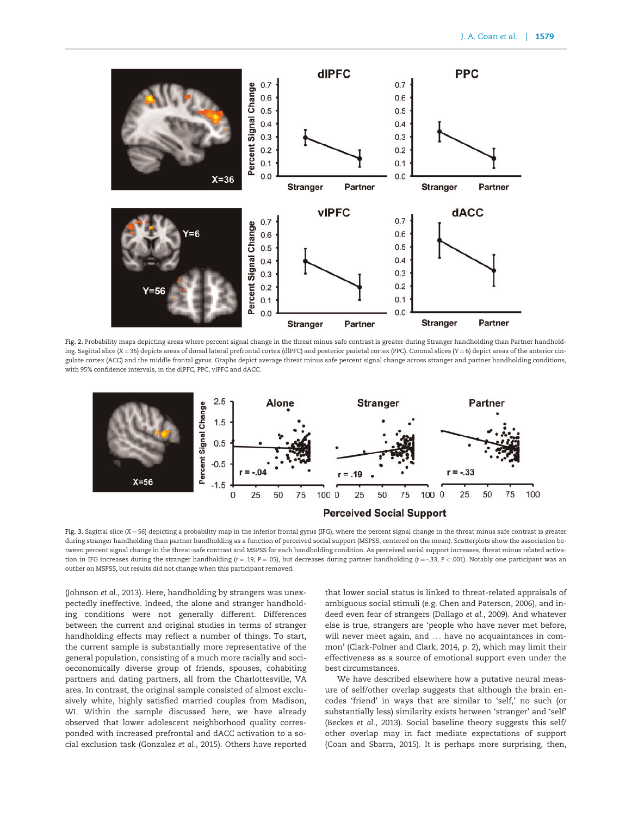<span id="page-5-0"></span>

Fig. 2. Probability maps depicting areas where percent signal change in the threat minus safe contrast is greater during Stranger handholding than Partner handholding. Sagittal slice (X = 36) depicts areas of dorsal lateral prefrontal cortex (dlPFC) and posterior parietal cortex (PPC). Coronal slices (Y = 6) depict areas of the anterior cingulate cortex (ACC) and the middle frontal gyrus. Graphs depict average threat minus safe percent signal change across stranger and partner handholding conditions, with 95% confidence intervals, in the dlPFC, PPC, vlPFC and dACC.



Fig. 3. Sagittal slice (X = 56) depicting a probability map in the inferior frontal gyrus (IFG), where the percent signal change in the threat minus safe contrast is greater during stranger handholding than partner handholding as a function of perceived social support (MSPSS, centered on the mean). Scatterplots show the association between percent signal change in the threat-safe contrast and MSPSS for each handholding condition. As perceived social support increases, threat minus related activation in IFG increases during the stranger handholding ( $r = .19$ ,  $P = .05$ ), but decreases during partner handholding ( $r = .33$ ,  $P < .001$ ). Notably one participant was an outlier on MSPSS, but results did not change when this participant removed.

(Johnson et al., 2013). Here, handholding by strangers was unexpectedly ineffective. Indeed, the alone and stranger handholding conditions were not generally different. Differences between the current and original studies in terms of stranger handholding effects may reflect a number of things. To start, the current sample is substantially more representative of the general population, consisting of a much more racially and socioeconomically diverse group of friends, spouses, cohabiting partners and dating partners, all from the Charlottesville, VA area. In contrast, the original sample consisted of almost exclusively white, highly satisfied married couples from Madison, WI. Within the sample discussed here, we have already observed that lower adolescent neighborhood quality corresponded with increased prefrontal and dACC activation to a social exclusion task ([Gonzalez](#page-8-0) et al.[, 2015](#page-8-0)). Others have reported

that lower social status is linked to threat-related appraisals of ambiguous social stimuli (e.g. [Chen and Paterson, 2006](#page-7-0)), and indeed even fear of strangers ([Dallago](#page-8-0) et al., 2009). And whatever else is true, strangers are 'people who have never met before, will never meet again, and ... have no acquaintances in common' ([Clark-Polner and Clark, 2014,](#page-7-0) p. 2), which may limit their effectiveness as a source of emotional support even under the best circumstances.

We have described elsewhere how a putative neural measure of self/other overlap suggests that although the brain encodes 'friend' in ways that are similar to 'self,' no such (or substantially less) similarity exists between 'stranger' and 'self' [\(Beckes](#page-7-0) et al., 2013). Social baseline theory suggests this self/ other overlap may in fact mediate expectations of support [\(Coan and Sbarra, 2015\)](#page-7-0). It is perhaps more surprising, then,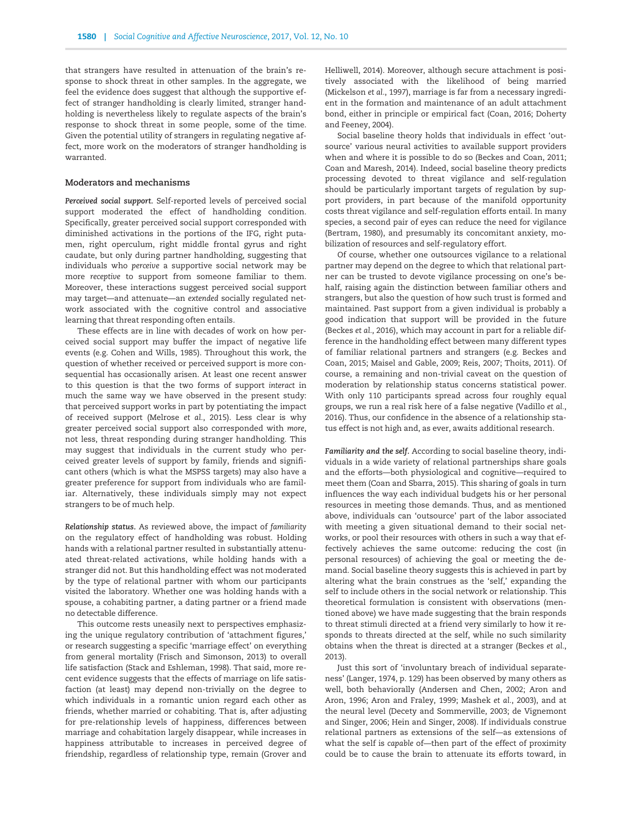that strangers have resulted in attenuation of the brain's response to shock threat in other samples. In the aggregate, we feel the evidence does suggest that although the supportive effect of stranger handholding is clearly limited, stranger handholding is nevertheless likely to regulate aspects of the brain's response to shock threat in some people, some of the time. Given the potential utility of strangers in regulating negative affect, more work on the moderators of stranger handholding is warranted.

#### Moderators and mechanisms

Perceived social support. Self-reported levels of perceived social support moderated the effect of handholding condition. Specifically, greater perceived social support corresponded with diminished activations in the portions of the IFG, right putamen, right operculum, right middle frontal gyrus and right caudate, but only during partner handholding, suggesting that individuals who perceive a supportive social network may be more receptive to support from someone familiar to them. Moreover, these interactions suggest perceived social support may target—and attenuate—an extended socially regulated network associated with the cognitive control and associative learning that threat responding often entails.

These effects are in line with decades of work on how perceived social support may buffer the impact of negative life events (e.g. [Cohen and Wills, 1985](#page-7-0)). Throughout this work, the question of whether received or perceived support is more consequential has occasionally arisen. At least one recent answer to this question is that the two forms of support interact in much the same way we have observed in the present study: that perceived support works in part by potentiating the impact of received support ([Melrose](#page-8-0) et al., 2015). Less clear is why greater perceived social support also corresponded with more, not less, threat responding during stranger handholding. This may suggest that individuals in the current study who perceived greater levels of support by family, friends and significant others (which is what the MSPSS targets) may also have a greater preference for support from individuals who are familiar. Alternatively, these individuals simply may not expect strangers to be of much help.

Relationship status. As reviewed above, the impact of familiarity on the regulatory effect of handholding was robust. Holding hands with a relational partner resulted in substantially attenuated threat-related activations, while holding hands with a stranger did not. But this handholding effect was not moderated by the type of relational partner with whom our participants visited the laboratory. Whether one was holding hands with a spouse, a cohabiting partner, a dating partner or a friend made no detectable difference.

This outcome rests uneasily next to perspectives emphasizing the unique regulatory contribution of 'attachment figures,' or research suggesting a specific 'marriage effect' on everything from general mortality (Frisch and Simonson, 2013) to overall life satisfaction [\(Stack and Eshleman, 1998\)](#page-8-0). That said, more recent evidence suggests that the effects of marriage on life satisfaction (at least) may depend non-trivially on the degree to which individuals in a romantic union regard each other as friends, whether married or cohabiting. That is, after adjusting for pre-relationship levels of happiness, differences between marriage and cohabitation largely disappear, while increases in happiness attributable to increases in perceived degree of friendship, regardless of relationship type, remain ([Grover and](#page-8-0) [Helliwell, 2014\)](#page-8-0). Moreover, although secure attachment is positively associated with the likelihood of being married [\(Mickelson](#page-8-0) et al., 1997), marriage is far from a necessary ingredient in the formation and maintenance of an adult attachment bond, either in principle or empirical fact ([Coan, 2016;](#page-7-0) [Doherty](#page-8-0) [and Feeney, 2004](#page-8-0)).

Social baseline theory holds that individuals in effect 'outsource' various neural activities to available support providers when and where it is possible to do so [\(Beckes and Coan, 2011](#page-7-0); [Coan and Maresh, 2014\)](#page-7-0). Indeed, social baseline theory predicts processing devoted to threat vigilance and self-regulation should be particularly important targets of regulation by support providers, in part because of the manifold opportunity costs threat vigilance and self-regulation efforts entail. In many species, a second pair of eyes can reduce the need for vigilance [\(Bertram, 1980\)](#page-7-0), and presumably its concomitant anxiety, mobilization of resources and self-regulatory effort.

Of course, whether one outsources vigilance to a relational partner may depend on the degree to which that relational partner can be trusted to devote vigilance processing on one's behalf, raising again the distinction between familiar others and strangers, but also the question of how such trust is formed and maintained. Past support from a given individual is probably a good indication that support will be provided in the future [\(Beckes](#page-7-0) et al., 2016), which may account in part for a reliable difference in the handholding effect between many different types of familiar relational partners and strangers (e.g. [Beckes and](#page-7-0) [Coan, 2015](#page-7-0); [Maisel and Gable, 2009](#page-8-0); [Reis, 2007; Thoits, 2011\)](#page-8-0). Of course, a remaining and non-trivial caveat on the question of moderation by relationship status concerns statistical power. With only 110 participants spread across four roughly equal groups, we run a real risk here of a false negative [\(Vadillo](#page-9-0) et al., [2016\)](#page-9-0). Thus, our confidence in the absence of a relationship status effect is not high and, as ever, awaits additional research.

Familiarity and the self. According to social baseline theory, individuals in a wide variety of relational partnerships share goals and the efforts—both physiological and cognitive—required to meet them [\(Coan and Sbarra, 2015](#page-7-0)). This sharing of goals in turn influences the way each individual budgets his or her personal resources in meeting those demands. Thus, and as mentioned above, individuals can 'outsource' part of the labor associated with meeting a given situational demand to their social networks, or pool their resources with others in such a way that effectively achieves the same outcome: reducing the cost (in personal resources) of achieving the goal or meeting the demand. Social baseline theory suggests this is achieved in part by altering what the brain construes as the 'self,' expanding the self to include others in the social network or relationship. This theoretical formulation is consistent with observations (mentioned above) we have made suggesting that the brain responds to threat stimuli directed at a friend very similarly to how it responds to threats directed at the self, while no such similarity obtains when the threat is directed at a stranger [\(Beckes](#page-7-0) et al., [2013\)](#page-7-0).

Just this sort of 'involuntary breach of individual separateness' (Langer, 1974, p. 129) has been observed by many others as well, both behaviorally [\(Andersen and Chen, 2002](#page-7-0); [Aron and](#page-7-0) [Aron, 1996; Aron and Fraley, 1999](#page-7-0); [Mashek](#page-8-0) et al., 2003), and at the neural level [\(Decety and Sommerville, 2003;](#page-8-0) [de Vignemont](#page-9-0) [and Singer, 2006](#page-9-0); [Hein and Singer, 2008\)](#page-8-0). If individuals construe relational partners as extensions of the self—as extensions of what the self is capable of—then part of the effect of proximity could be to cause the brain to attenuate its efforts toward, in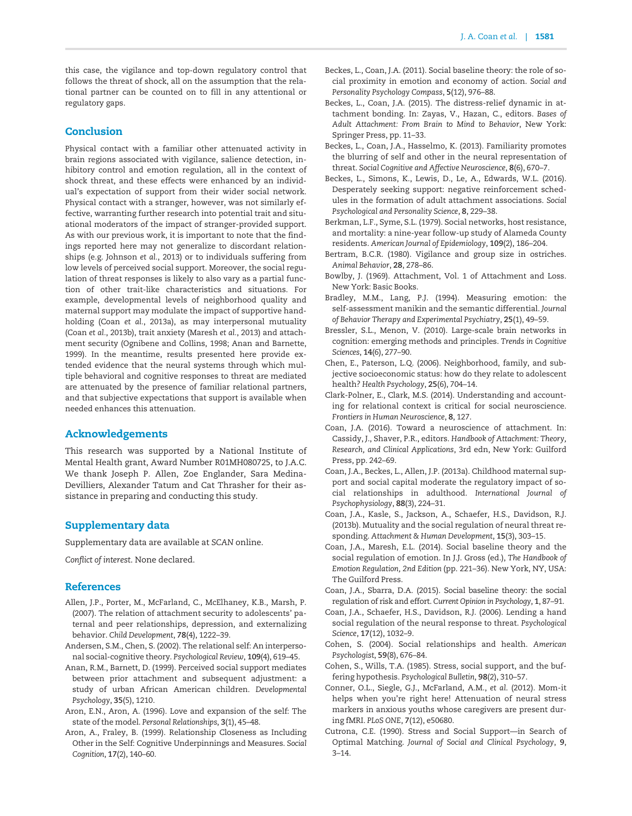<span id="page-7-0"></span>this case, the vigilance and top-down regulatory control that follows the threat of shock, all on the assumption that the relational partner can be counted on to fill in any attentional or regulatory gaps.

# **Conclusion**

Physical contact with a familiar other attenuated activity in brain regions associated with vigilance, salience detection, inhibitory control and emotion regulation, all in the context of shock threat, and these effects were enhanced by an individual's expectation of support from their wider social network. Physical contact with a stranger, however, was not similarly effective, warranting further research into potential trait and situational moderators of the impact of stranger-provided support. As with our previous work, it is important to note that the findings reported here may not generalize to discordant relationships (e.g. Johnson et al., 2013) or to individuals suffering from low levels of perceived social support. Moreover, the social regulation of threat responses is likely to also vary as a partial function of other trait-like characteristics and situations. For example, developmental levels of neighborhood quality and maternal support may modulate the impact of supportive handholding (Coan et al., 2013a), as may interpersonal mutuality (Coan et al., 2013b), trait anxiety ([Maresh](#page-8-0) et al., 2013) and attachment security ([Ognibene and Collins, 1998](#page-8-0); Anan and Barnette, 1999). In the meantime, results presented here provide extended evidence that the neural systems through which multiple behavioral and cognitive responses to threat are mediated are attenuated by the presence of familiar relational partners, and that subjective expectations that support is available when needed enhances this attenuation.

# Acknowledgements

This research was supported by a National Institute of Mental Health grant, Award Number R01MH080725, to J.A.C. We thank Joseph P. Allen, Zoe Englander, Sara Medina-Devilliers, Alexander Tatum and Cat Thrasher for their assistance in preparing and conducting this study.

# Supplementary data

Supplementary data are available at SCAN online.

Conflict of interest. None declared.

## References

- Allen, J.P., Porter, M., McFarland, C., McElhaney, K.B., Marsh, P. (2007). The relation of attachment security to adolescents' paternal and peer relationships, depression, and externalizing behavior. Child Development, 78(4), 1222–39.
- Andersen, S.M., Chen, S. (2002). The relational self: An interpersonal social-cognitive theory. Psychological Review, 109(4), 619–45.
- Anan, R.M., Barnett, D. (1999). Perceived social support mediates between prior attachment and subsequent adjustment: a study of urban African American children. Developmental Psychology, 35(5), 1210.
- Aron, E.N., Aron, A. (1996). Love and expansion of the self: The state of the model. Personal Relationships, 3(1), 45–48.
- Aron, A., Fraley, B. (1999). Relationship Closeness as Including Other in the Self: Cognitive Underpinnings and Measures. Social Cognition, 17(2), 140–60.
- Beckes, L., Coan, J.A. (2011). Social baseline theory: the role of social proximity in emotion and economy of action. Social and Personality Psychology Compass, 5(12), 976–88.
- Beckes, L., Coan, J.A. (2015). The distress-relief dynamic in attachment bonding. In: Zayas, V., Hazan, C., editors. Bases of Adult Attachment: From Brain to Mind to Behavior, New York: Springer Press, pp. 11–33.
- Beckes, L., Coan, J.A., Hasselmo, K. (2013). Familiarity promotes the blurring of self and other in the neural representation of threat. Social Cognitive and Affective Neuroscience, 8(6), 670-7.
- Beckes, L., Simons, K., Lewis, D., Le, A., Edwards, W.L. (2016). Desperately seeking support: negative reinforcement schedules in the formation of adult attachment associations. Social Psychological and Personality Science, 8, 229–38.
- Berkman, L.F., Syme, S.L. (1979). Social networks, host resistance, and mortality: a nine-year follow-up study of Alameda County residents. American Journal of Epidemiology, 109(2), 186–204.
- Bertram, B.C.R. (1980). Vigilance and group size in ostriches. Animal Behavior, 28, 278–86.
- Bowlby, J. (1969). Attachment, Vol. 1 of Attachment and Loss. New York: Basic Books.
- Bradley, M.M., Lang, P.J. (1994). Measuring emotion: the self-assessment manikin and the semantic differential. Journal of Behavior Therapy and Experimental Psychiatry, 25(1), 49–59.
- Bressler, S.L., Menon, V. (2010). Large-scale brain networks in cognition: emerging methods and principles. Trends in Cognitive Sciences, 14(6), 277–90.
- Chen, E., Paterson, L.Q. (2006). Neighborhood, family, and subjective socioeconomic status: how do they relate to adolescent health? Health Psychology, 25(6), 704–14.
- Clark-Polner, E., Clark, M.S. (2014). Understanding and accounting for relational context is critical for social neuroscience. Frontiers in Human Neuroscience, 8, 127.
- Coan, J.A. (2016). Toward a neuroscience of attachment. In: Cassidy, J., Shaver, P.R., editors. Handbook of Attachment: Theory, Research, and Clinical Applications, 3rd edn, New York: Guilford Press, pp. 242–69.
- Coan, J.A., Beckes, L., Allen, J.P. (2013a). Childhood maternal support and social capital moderate the regulatory impact of social relationships in adulthood. International Journal of Psychophysiology, 88(3), 224–31.
- Coan, J.A., Kasle, S., Jackson, A., Schaefer, H.S., Davidson, R.J. (2013b). Mutuality and the social regulation of neural threat responding. Attachment & Human Development, 15(3), 303–15.
- Coan, J.A., Maresh, E.L. (2014). Social baseline theory and the social regulation of emotion. In J.J. Gross (ed.), The Handbook of Emotion Regulation, 2nd Edition (pp. 221–36). New York, NY, USA: The Guilford Press.
- Coan, J.A., Sbarra, D.A. (2015). Social baseline theory: the social regulation of risk and effort. Current Opinion in Psychology, 1, 87–91.
- Coan, J.A., Schaefer, H.S., Davidson, R.J. (2006). Lending a hand social regulation of the neural response to threat. Psychological Science, 17(12), 1032–9.
- Cohen, S. (2004). Social relationships and health. American Psychologist, 59(8), 676–84.
- Cohen, S., Wills, T.A. (1985). Stress, social support, and the buffering hypothesis. Psychological Bulletin, 98(2), 310–57.
- Conner, O.L., Siegle, G.J., McFarland, A.M., et al. (2012). Mom-it helps when you're right here! Attenuation of neural stress markers in anxious youths whose caregivers are present during fMRI. PLoS ONE, 7(12), e50680.
- Cutrona, C.E. (1990). Stress and Social Support—in Search of Optimal Matching. Journal of Social and Clinical Psychology, 9, 3–14.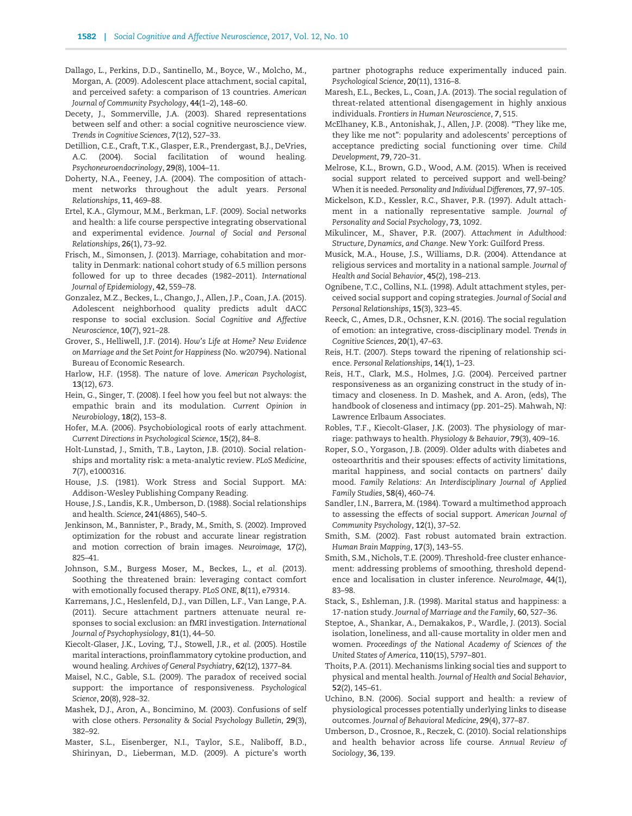- <span id="page-8-0"></span>Dallago, L., Perkins, D.D., Santinello, M., Boyce, W., Molcho, M., Morgan, A. (2009). Adolescent place attachment, social capital, and perceived safety: a comparison of 13 countries. American Journal of Community Psychology, 44(1–2), 148–60.
- Decety, J., Sommerville, J.A. (2003). Shared representations between self and other: a social cognitive neuroscience view. Trends in Cognitive Sciences, 7(12), 527–33.
- Detillion, C.E., Craft, T.K., Glasper, E.R., Prendergast, B.J., DeVries, A.C. (2004). Social facilitation of wound healing. Psychoneuroendocrinology, 29(8), 1004–11.
- Doherty, N.A., Feeney, J.A. (2004). The composition of attachment networks throughout the adult years. Personal Relationships, 11, 469–88.
- Ertel, K.A., Glymour, M.M., Berkman, L.F. (2009). Social networks and health: a life course perspective integrating observational and experimental evidence. Journal of Social and Personal Relationships, 26(1), 73–92.
- Frisch, M., Simonsen, J. (2013). Marriage, cohabitation and mortality in Denmark: national cohort study of 6.5 million persons followed for up to three decades (1982–2011). International Journal of Epidemiology, 42, 559–78.
- Gonzalez, M.Z., Beckes, L., Chango, J., Allen, J.P., Coan, J.A. (2015). Adolescent neighborhood quality predicts adult dACC response to social exclusion. Social Cognitive and Affective Neuroscience, 10(7), 921–28.
- Grover, S., Helliwell, J.F. (2014). How's Life at Home? New Evidence on Marriage and the Set Point for Happiness (No. w20794). National Bureau of Economic Research.
- Harlow, H.F. (1958). The nature of love. American Psychologist, 13(12), 673.
- Hein, G., Singer, T. (2008). I feel how you feel but not always: the empathic brain and its modulation. Current Opinion in Neurobiology, 18(2), 153–8.
- Hofer, M.A. (2006). Psychobiological roots of early attachment. Current Directions in Psychological Science, 15(2), 84–8.
- Holt-Lunstad, J., Smith, T.B., Layton, J.B. (2010). Social relationships and mortality risk: a meta-analytic review. PLoS Medicine, 7(7), e1000316.
- House, J.S. (1981). Work Stress and Social Support. MA: Addison-Wesley Publishing Company Reading.
- House, J.S., Landis, K.R., Umberson, D. (1988). Social relationships and health. Science, 241(4865), 540–5.
- Jenkinson, M., Bannister, P., Brady, M., Smith, S. (2002). Improved optimization for the robust and accurate linear registration and motion correction of brain images. Neuroimage, 17(2), 825–41.
- Johnson, S.M., Burgess Moser, M., Beckes, L., et al. (2013). Soothing the threatened brain: leveraging contact comfort with emotionally focused therapy. PLoS ONE, 8(11), e79314.
- Karremans, J.C., Heslenfeld, D.J., van Dillen, L.F., Van Lange, P.A. (2011). Secure attachment partners attenuate neural responses to social exclusion: an fMRI investigation. International Journal of Psychophysiology, 81(1), 44–50.
- Kiecolt-Glaser, J.K., Loving, T.J., Stowell, J.R., et al. (2005). Hostile marital interactions, proinflammatory cytokine production, and wound healing. Archives of General Psychiatry, 62(12), 1377–84.
- Maisel, N.C., Gable, S.L. (2009). The paradox of received social support: the importance of responsiveness. Psychological Science, 20(8), 928–32.
- Mashek, D.J., Aron, A., Boncimino, M. (2003). Confusions of self with close others. Personality & Social Psychology Bulletin, 29(3), 382–92.
- Master, S.L., Eisenberger, N.I., Taylor, S.E., Naliboff, B.D., Shirinyan, D., Lieberman, M.D. (2009). A picture's worth

partner photographs reduce experimentally induced pain. Psychological Science, 20(11), 1316–8.

- Maresh, E.L., Beckes, L., Coan, J.A. (2013). The social regulation of threat-related attentional disengagement in highly anxious individuals. Frontiers in Human Neuroscience, 7, 515.
- McElhaney, K.B., Antonishak, J., Allen, J.P. (2008). "They like me, they like me not": popularity and adolescents' perceptions of acceptance predicting social functioning over time. Child Development, 79, 720–31.
- Melrose, K.L., Brown, G.D., Wood, A.M. (2015). When is received social support related to perceived support and well-being? When it is needed. Personality and Individual Differences, 77, 97–105.
- Mickelson, K.D., Kessler, R.C., Shaver, P.R. (1997). Adult attachment in a nationally representative sample. Journal of Personality and Social Psychology, 73, 1092.
- Mikulincer, M., Shaver, P.R. (2007). Attachment in Adulthood: Structure, Dynamics, and Change. New York: Guilford Press.
- Musick, M.A., House, J.S., Williams, D.R. (2004). Attendance at religious services and mortality in a national sample. Journal of Health and Social Behavior, 45(2), 198–213.
- Ognibene, T.C., Collins, N.L. (1998). Adult attachment styles, perceived social support and coping strategies. Journal of Social and Personal Relationships, 15(3), 323–45.
- Reeck, C., Ames, D.R., Ochsner, K.N. (2016). The social regulation of emotion: an integrative, cross-disciplinary model. Trends in Cognitive Sciences, 20(1), 47–63.
- Reis, H.T. (2007). Steps toward the ripening of relationship science. Personal Relationships, 14(1), 1–23.
- Reis, H.T., Clark, M.S., Holmes, J.G. (2004). Perceived partner responsiveness as an organizing construct in the study of intimacy and closeness. In D. Mashek, and A. Aron, (eds), The handbook of closeness and intimacy (pp. 201–25). Mahwah, NJ: Lawrence Erlbaum Associates.
- Robles, T.F., Kiecolt-Glaser, J.K. (2003). The physiology of marriage: pathways to health. Physiology & Behavior, 79(3), 409–16.
- Roper, S.O., Yorgason, J.B. (2009). Older adults with diabetes and osteoarthritis and their spouses: effects of activity limitations, marital happiness, and social contacts on partners' daily mood. Family Relations: An Interdisciplinary Journal of Applied Family Studies, 58(4), 460–74.
- Sandler, I.N., Barrera, M. (1984). Toward a multimethod approach to assessing the effects of social support. American Journal of Community Psychology, 12(1), 37–52.
- Smith, S.M. (2002). Fast robust automated brain extraction. Human Brain Mapping, 17(3), 143–55.
- Smith, S.M., Nichols, T.E. (2009). Threshold-free cluster enhancement: addressing problems of smoothing, threshold dependence and localisation in cluster inference. NeuroImage, 44(1), 83–98.
- Stack, S., Eshleman, J.R. (1998). Marital status and happiness: a 17-nation study. Journal of Marriage and the Family, 60, 527–36.
- Steptoe, A., Shankar, A., Demakakos, P., Wardle, J. (2013). Social isolation, loneliness, and all-cause mortality in older men and women. Proceedings of the National Academy of Sciences of the United States of America, 110(15), 5797–801.
- Thoits, P.A. (2011). Mechanisms linking social ties and support to physical and mental health. Journal of Health and Social Behavior, 52(2), 145–61.
- Uchino, B.N. (2006). Social support and health: a review of physiological processes potentially underlying links to disease outcomes. Journal of Behavioral Medicine, 29(4), 377–87.
- Umberson, D., Crosnoe, R., Reczek, C. (2010). Social relationships and health behavior across life course. Annual Review of Sociology, 36, 139.